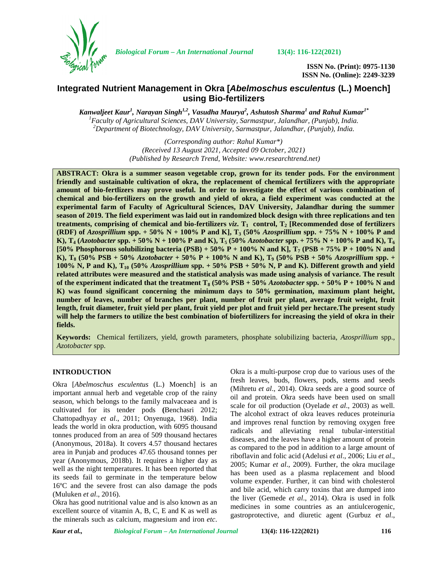

*Biological Forum – An International Journal* **13(4): 116-122(2021)**

**ISSN No. (Print): 0975-1130 ISSN No. (Online): 2249-3239**

# **Integrated Nutrient Management in Okra [***Abelmoschus esculentus* **(L.) Moench] using Bio-fertilizers**

*Kanwaljeet Kaur<sup>1</sup> , Narayan Singh1,2 , Vasudha Maurya<sup>2</sup> , Ashutosh Sharma<sup>1</sup> and Rahul Kumar1\** <sup>1</sup> Faculty of Agricultural Sciences, DAV University, Sarmastpur, Jalandhar, (Punjab), India.<br><sup>2</sup> Department of Biotechnology, DAV University, Sarmastpur, Jalandhar, (Punjab), India.

> *(Corresponding author: Rahul Kumar\*) (Received 13 August 2021, Accepted 09 October, 2021) (Published by Research Trend, Website: <www.researchtrend.net>)*

**ABSTRACT: Okra is a summer season vegetable crop, grown for its tender pods. For the environment friendly and sustainable cultivation of okra, the replacement of chemical fertilizers with the appropriate amount of bio-fertlizers may prove useful. In order to investigate the effect of various combination of chemical and bio-fertilizers on the growth and yield of okra, a field experiment was conducted at the experimental farm of Faculty of Agricultural Sciences, DAV University, Jalandhar during the summer season of 2019. The field experiment was laid out in randomized block design with three replications and ten treatments, comprising of chemical and bio-fertilizers** *viz***. T<sup>1</sup> control, T<sup>2</sup> [Recommended dose of fertilizers (RDF) of** *Azosprillium* **spp. + 50% N + 100% P and K], T<sup>3</sup> (50%** *Azosprillium* **spp. + 75% N + 100% P and K**),  $T_4$  (*Azotobacter* spp. + 50% N + 100% P and K),  $T_5$  (50% *Azotobacter* spp. + 75% N + 100% P and K),  $T_6$ **[50% Phosphorous solubilizing bacteria (PSB) + 50% P + 100% N and K], T<sup>7</sup> (PSB + 75% P + 100% N and K), T<sup>8</sup> (50% PSB + 50%** *Azotobacter* **+ 50% P + 100% N and K), T<sup>9</sup> (50% PSB + 50%** *Azosprillium* **spp. + 100% N, P and K), T<sup>10</sup> (50%** *Azosprillium* **spp. + 50% PSB + 50% N, P and K). Different growth and yield related attributes were measured and the statistical analysis was made using analysis of variance. The result of the experiment indicated that the treatment**  $T_8$  **(50% PSB + 50%** *Azotobacter* **spp. + 50% P + 100% N and K) was found significant concerning the minimum days to 50% germination, maximum plant height, number of leaves, number of branches per plant, number of fruit per plant, average fruit weight, fruit length, fruit diameter, fruit yield per plant, fruit yield per plot and fruit yield per hectare.The present study will help the farmers to utilize the best combination of biofertilizers for increasing the yield of okra in their fields.**

**Keywords:** Chemical fertilizers, yield, growth parameters, phosphate solubilizing bacteria, *Azosprillium* spp.*, Azotobacter* spp.

#### **INTRODUCTION**

Okra [*Abelmoschus esculentus* (L.) Moench] is an important annual herb and vegetable crop of the rainy season, which belongs to the family malvaceaea and is cultivated for its tender pods **(**Benchasri 2012; Chattopadhyay *et al*., 2011; Onyenuga, 1968). India leads the world in okra production, with 6095 thousand tonnes produced from an area of 509 thousand hectares (Anonymous, 2018a). It covers 4.57 thousand hectares area in Punjab and produces 47.65 thousand tonnes per year (Anonymous, 2018b). It requires a higher day as well as the night temperatures. It has been reported that its seeds fail to germinate in the temperature below 16ºC and the severe frost can also damage the pods (Muluken *et al*., 2016).

Okra has good nutritional value and is also known as an excellent source of vitamin A, B, C, E and K as well as the minerals such as calcium, magnesium and iron *etc*. Okra is a multi-purpose crop due to various uses of the fresh leaves, buds, flowers, pods, stems and seeds (Mihretu *et al*., 2014). Okra seeds are a good source of oil and protein. Okra seeds have been used on small scale for oil production (Oyelade *et al*., 2003) as well. The alcohol extract of okra leaves reduces proteinuria and improves renal function by removing oxygen free radicals and alleviating renal tubular-interstitial diseases, and the leaves have a higher amount of protein as compared to the pod in addition to a large amount of riboflavin and folic acid (Adelusi *et al*., 2006; Liu *et al*., 2005; Kumar *et al*., 2009). Further, the okra mucilage has been used as a plasma replacement and blood volume expender. Further, it can bind with cholesterol and bile acid, which carry toxins that are dumped into the liver (Gemede *et al*., 2014). Okra is used in folk medicines in some countries as an antiulcerogenic, gastroprotective, and diuretic agent (Gurbuz *et al*.,

*Kaur et al., Biological Forum – An International Journal* **13(4): 116-122(2021) 116**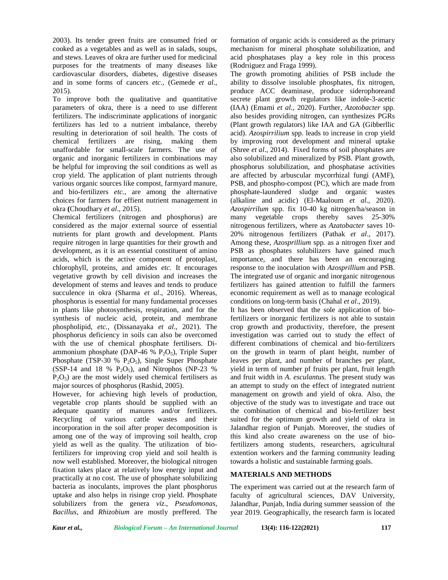2003). Its tender green fruits are consumed fried or cooked as a vegetables and as well as in salads, soups, and stews. Leaves of okra are further used for medicinal purposes for the treatments of many diseases like cardiovascular disorders, diabetes, digestive diseases and in some forms of cancers *etc.,* (Gemede *et al*., 2015).

To improve both the qualitative and quantitative parameters of okra, there is a need to use different fertilizers. The indiscriminate applications of inorganic fertilizers has led to a nutrient imbalance, thereby resulting in deterioration of soil health. The costs of chemical fertilizers are rising, making them unaffordable for small-scale farmers. The use of organic and inorganic fertilizers in combinations may be helpful for improving the soil conditions as well as crop yield. The application of plant nutrients through various organic sources like compost, farmyard manure, and bio-fertilizers *etc.*, are among the alternative choices for farmers for effient nutrient management in okra **(**Choudhary *et al*., 2015).

Chemical fertilizers (nitrogen and phosphorus) are considered as the major external source of essential nutrients for plant growth and development. Plants require nitrogen in large quantities for their growth and development, as it is an essential constituent of amino acids, which is the active component of protoplast, chlorophyll, proteins, and amides *etc.* It encourages vegetative growth by cell division and increases the development of stems and leaves and tends to produce succulence in okra (Sharma *et al*., 2016). Whereas, phosphorus is essential for many fundamental processes in plants like photosynthesis, respiration, and for the synthesis of nucleic acid, protein, and membrane phospholipid, *etc.,* (Dissanayaka *et al*., 2021). The phosphorus deficiency in soils can also be overcomed with the use of chemical phosphate fertilisers. Di ammonium phosphate (DAP-46 %  $P_2O_5$ ), Triple Super Phosphate (TSP-30 %  $P_2O_5$ ), Single Super Phosphate (SSP-14 and 18 %  $P_2O_5$ ), and Nitrophos (NP-23 %)  $P_2O_5$ ) are the most widely used chemical fertilisers as major sources of phosphorus (Rashid, 2005).

However, for achieving high levels of production, vegetable crop plants should be supplied with an adequate quantity of manures and/or fertilizers. Recycling of various cattle wastes and their incorporation in the soil after proper decomposition is among one of the way of improving soil health, crop yield as well as the quality. The utilization of biofertilizers for improving crop yield and soil health is now well established. Moreover, the biological nitrogen fixation takes place at relatively low energy input and practically at no cost. The use of phosphate solubilizing bacteria as inoculants, improves the plant phosphorus uptake and also helps in risinge crop yield. Phosphate solubilizers from the genera *viz*., *Pseudomonas*, *Bacillus*, and *Rhizobium* are mostly preffered. The

formation of organic acids is considered as the primary mechanism for mineral phosphate solubilization, and acid phosphatases play a key role in this process (Rodrıiguez and Fraga 1999).

The growth promoting abilities of PSB include the ability to dissolve insoluble phosphates, fix nitrogen, produce ACC deaminase, produce siderophoreand secrete plant growth regulators like indole-3-acetic (IAA) (Emami *et al*., 2020). Further, *Azotobacter* spp. also besides providing nitrogen, can synthesizes PGRs (Plant growth regulators) like IAA and GA (Gibberllic acid). *Azospirrilium* spp. leads to increase in crop yield by improving root development and mineral uptake (Shree *et al*., 2014). Fixed forms of soil phosphates are also solubilized and mineralized by PSB. Plant growth, phosphorus solubilization, and phosphatase activities are affected by arbuscular mycorrhizal fungi (AMF), PSB, and phospho-compost (PC), which are made from phosphate-laundered sludge and organic wastes (alkaline and acidic) (El-Maaloum *et al*., 2020). *Azospirrilum* spp. fix 10-40 kg nitrogen/ha/season in many vegetable crops thereby saves 25-30% nitrogenous fertilizers, where as *Azatobacter* saves 10- 20% nitrogenous fertilizers (Pathak *et al*., 2017). Among these, *Azosprillium* spp*.* as a nitrogen fixer and PSB as phosphates solubilizers have gained much importance, and there has been an encouraging response to the inoculation with *Azosprillium* and PSB. The integrated use of organic and inorganic nitrogenous fertilizers has gained attention to fulfill the farmers economic requirement as well as to manage ecological conditions on long-term basis (Chahal *et al*., 2019).

It has been observed that the sole application of biofertilizers or inorganic fertilizers is not able to sustain crop growth and productivity, therefore, the present investigation was carried out to study the effect of different combinations of chemical and bio-fertilizers on the growth in tearm of plant height, number of leaves per plant, and number of branches per plant, yield in term of number pf fruits per plant, fruit length and fruit width in *A. esculantus.* The present study was an attempt to study on the effect of integrated nutrient management on growth and yield of okra. Also, the objective of the study was to investigate and trace out the combination of chemical and bio-fertilizer best suited for the optimum growth and yield of okra in Jalandhar region of Punjab. Moreover, the studies of this kind also create awareness on the use of biofertilizers among students, researchers, agricultural extention workers and the farming community leading towards a holistic and sustainable farming goals.

#### **MATERIALS AND METHODS**

The experiment was carried out at the research farm of faculty of agricultural sciences, DAV University, Jalandhar, Punjab, India during summer seassion of the year 2019. Geographically, the research farm is located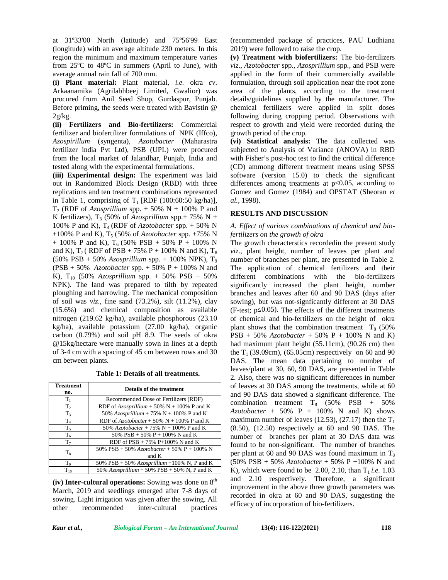at 31º33'00 North (latitude) and 75º56'99 East (longitude) with an average altitude 230 meters. In this region the minimum and maximum temperature varies from 25ºC to 48ºC in summers (April to June), with average annual rain fall of 700 mm.

**(i) Plant material:** Plant material, *i.e.* okra *cv*. Arkaanamika (Agrilabhbeej Limited, Gwalior) was procured from Anil Seed Shop, Gurdaspur, Punjab. Before priming, the seeds were treated with Bavistin @  $2g/kg$ .

**(ii) Fertilizers and Bio-fertilizers:** Commercial fertilizer and biofertilizer formulations of NPK (Iffco), *Azospirillum* (syngenta), *Azotobacter* (Maharastra fertilizer india Pvt Ltd), PSB (UPL) were procured from the local market of Jalandhar, Punjab, India and tested along with the experimental formulations.

**(iii) Experimental design:** The experiment was laid out in Randomized Block Design (RBD) with three replications and ten treatment combinations represented in Table 1, comprising of  $T_1$  [RDF (100:60:50 kg/ha)],  $T_2$  (RDF of *Azosprillium* spp.  $+$  50% N  $+$  100% P and K fertilizers),  $T_3$  (50% of *Azosprillium* spp.+ 75% N + 100% P and K),  $T_4$  (RDF of *Azotobacter* spp.  $+$  50% N +100% P and K),  $T_5$  (50% of *Azotobacter* spp. +75% N + 100% P and K),  $T_6$  (50% PSB + 50% P + 100% N and K),  $T_7$  ( RDF of PSB + 75% P + 100% N and K),  $T_8$ (50% PSB + 50% *Azosprillium* spp. + 100% NPK), T<sup>9</sup> (PSB + 50% *Azotobacter* spp. + 50% P + 100% N and K), T<sup>10</sup> (50% *Azosprillium* spp. + 50% PSB + 50% NPK). The land was prepared to tilth by repeated ploughing and harrowing. The mechanical composition of soil was *viz*., fine sand (73.2%), silt (11.2%), clay (15.6%) and chemical composition as available nitrogen (219.62 kg/ha), available phosphorous (23.10 kg/ha), available potassium (27.00 kg/ha), organic carbon (0.79%) and soil pH 8.9. The seeds of okra @15kg/hectare were manually sown in lines at a depth of 3-4 cm with a spacing of 45 cm between rows and 30 cm between plants.

**Table 1: Details of all treatments.**

| <b>Treatment</b><br>no. | <b>Details of the treatment</b>                               |
|-------------------------|---------------------------------------------------------------|
| $T_1$                   | Recommended Dose of Fertilizers (RDF)                         |
| T <sub>2</sub>          | RDF of Azosprillium + 50% N + 100% P and K                    |
| $T_3$                   | 50% Azosprillium + 75% N + 100% P and K                       |
| $T_4$                   | RDF of $Azotobacter + 50\% N + 100\% P$ and K                 |
| T <sub>5</sub>          | 50% <i>Azotobacter</i> + 75% $N$ + 100% <i>P</i> and <i>K</i> |
| T <sub>6</sub>          | 50% PSB + 50% P + 100% N and K                                |
| $T_7$                   | RDF of $PSB + 75\% P + 100\% N$ and K                         |
| $T_8$                   | 50% PSB + 50% Azotobacter + 50% P + 100% N<br>and K           |
| T <sub>9</sub>          | 50% PSB + 50% Azosprillium +100% N, P and K                   |
| $T_{10}$                | 50% Azosprillium + 50% PSB + 50% N, P and K                   |

**(iv) Inter-cultural operations:** Sowing was done on 8th March, 2019 and seedlings emerged after 7-8 days of sowing. Light irrigation was given after the sowing. All other recommended inter-cultural practices (recommended package of practices, PAU Ludhiana 2019) were followed to raise the crop.

**(v) Treatment with biofertilizers:** The bio-fertilizers *viz*., *Azotobacter* spp.*, Azosprillium* spp*.,* and PSB were applied in the form of their commercially available formulation, through soil application near the root zone area of the plants, according to the treatment details/guidelines supplied by the manufacturer. The chemical fertilizers were applied in split doses following during cropping period. Observations with respect to growth and yield were recorded during the growth period of the crop.

**(vi) Statistical analysis:** The data collected was subjected to Analysis of Variance (ANOVA) in RBD with Fisher's post-hoc test to find the critical difference (CD) ammong different treatment means using SPSS software (version 15.0) to check the significant differences among treatments at  $p$  0.05, according to Gomez and Gomez (1984) and OPSTAT (Sheoran *et al.,* 1998).

## **RESULTS AND DISCUSSION**

#### *A. Effect of various combinations of chemical and biofertilizers on the growth of okra*

The growth cheracterstics recordedin the present study *viz*., plant height, number of leaves per plant and number of branches per plant, are presented in Table 2. The application of chemical fertilizers and their different combinations with the bio-fertilizers significantly increased the plant height, number branches and leaves after 60 and 90 DAS (days after sowing), but was not-signficantly different at 30 DAS (F-test;  $p(0.05)$ . The effects of the different treatments of chemical and bio-fertilizers on the height of okra plant shows that the combination treatment  $T_8$  (50%)  $PSB + 50\%$  *Azotobacter* + 50% P + 100% N and K) had maximum plant height (55.11cm), (90.26 cm) then the  $T_1$  (39.09cm), (65.05cm) respectively on 60 and 90 DAS. The mean data pertaining to number of leaves/plant at 30, 60, 90 DAS, are presented in Table 2. Also, there was no significant differences in number of leaves at 30 DAS among the treatments, while at 60 and 90 DAS data showed a significant difference. The combination treatment  $T_8$  (50% PSB + 50%) *Azotobacter* + 50% P + 100% N and K) shows maximum number of leaves (12.53), (27.17) then the  $T_1$  $(8.50)$ ,  $(12.50)$  respectively at 60 and 90 DAS. The number of branches per plant at 30 DAS data was found to be non-significant. The number of branches per plant at 60 and 90 DAS was found maximum in  $T_8$ (50% PSB + 50% *Azotobacter* + 50% P +100% N and K), which were found to be 2.00, 2.10, than  $T_1$  *i.e.* 1.03 and 2.10 respectively. Therefore, a significant improvement in the above three growth parameters was recorded in okra at 60 and 90 DAS, suggesting the efficacy of incorporation of bio-fertilizers.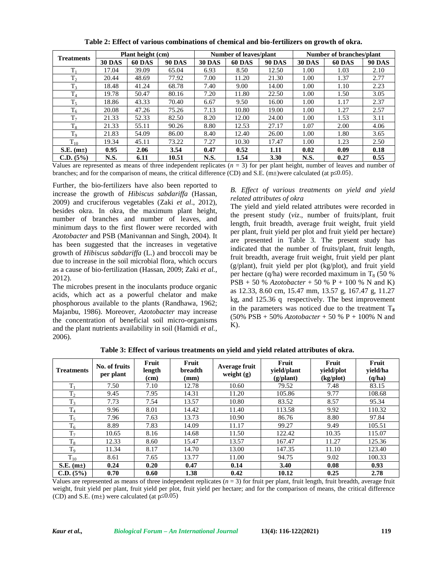| <b>Treatments</b>      | Plant height (cm) |               |               | <b>Number of leaves/plant</b> |               |               | Number of branches/plant |               |               |
|------------------------|-------------------|---------------|---------------|-------------------------------|---------------|---------------|--------------------------|---------------|---------------|
|                        | <b>30 DAS</b>     | <b>60 DAS</b> | <b>90 DAS</b> | <b>30 DAS</b>                 | <b>60 DAS</b> | <b>90 DAS</b> | <b>30 DAS</b>            | <b>60 DAS</b> | <b>90 DAS</b> |
| $T_1$                  | 17.04             | 39.09         | 65.04         | 6.93                          | 8.50          | 12.50         | 1.00                     | 1.03          | 2.10          |
| T <sub>2</sub>         | 20.44             | 48.69         | 77.92         | 7.00                          | 11.20         | 21.30         | 1.00                     | 1.37          | 2.77          |
| T <sub>3</sub>         | 18.48             | 41.24         | 68.78         | 7.40                          | 9.00          | 14.00         | 1.00                     | 1.10          | 2.23          |
| $T_4$                  | 19.78             | 50.47         | 80.16         | 7.20                          | 11.80         | 22.50         | 1.00                     | 1.50          | 3.05          |
| $T_5$                  | 18.86             | 43.33         | 70.40         | 6.67                          | 9.50          | 16.00         | 1.00                     | 1.17          | 2.37          |
| $T_6$                  | 20.08             | 47.26         | 75.26         | 7.13                          | 10.80         | 19.00         | 1.00                     | 1.27          | 2.57          |
| $T_7$                  | 21.33             | 52.33         | 82.50         | 8.20                          | 12.00         | 24.00         | 1.00                     | 1.53          | 3.11          |
| $T_8$                  | 21.33             | 55.11         | 90.26         | 8.80                          | 12.53         | 27.17         | 1.07                     | 2.00          | 4.06          |
| T <sub>9</sub>         | 21.83             | 54.09         | 86.00         | 8.40                          | 12.40         | 26.00         | 1.00                     | 1.80          | 3.65          |
| $T_{10}$               | 19.34             | 45.11         | 73.22         | 7.27                          | 10.30         | 17.47         | 1.00                     | 1.23          | 2.50          |
| S.E. (m <sub>±</sub> ) | 0.95              | 2.06          | 3.54          | 0.47                          | 0.52          | 1.11          | 0.02                     | 0.09          | 0.18          |
| C.D. (5%)              | N.S.              | 6.11          | 10.51         | N.S.                          | 1.54          | 3.30          | <b>N.S.</b>              | 0.27          | 0.55          |

**Table 2: Effect of various combinations of chemical and bio-fertilizers on growth of okra.**

Values are represented as means of three independent replicates  $(n = 3)$  for per plant height, number of leaves and number of branches; and for the comparison of means, the critical difference (CD) and S.E. (m±)were calculated (at p 0.05).

Further, the bio-fertilizers have also been reported to increase the growth of *Hibiscus sabdariffa* (Hassan, 2009) and cruciferous vegetables (Zaki *et al*., 2012), besides okra. In okra, the maximum plant height, number of branches and number of leaves, and minimum days to the first flower were recorded with *Azotobacter* and PSB (Manivannan and Singh, 2004). It has been suggested that the increases in vegetative growth of *Hibiscus sabdariffa* (L.) and broccoli may be due to increase in the soil microbial flora, which occurs as a cause of bio-fertilization (Hassan, 2009; Zaki *et al.,* 2012).

The microbes present in the inoculants produce organic acids, which act as a powerful chelator and make phosphorous available to the plants (Randhawa, 1962; Majanbu, 1986). Moreover, *Azotobacter* may increase the concentration of beneficial soil micro-organisms and the plant nutrients availability in soil (Hamidi *et al.,* 2006).

#### *B. Effect of various treatments on yield and yield related attributes of okra*

The yield and yield related attributes were recorded in the present study (*viz*., number of fruits/plant, fruit length, fruit breadth, average fruit weight, fruit yield per plant, fruit yield per plot and fruit yield per hectare) are presented in Table 3. The present study has indicated that the number of fruits/plant, fruit length, fruit breadth, average fruit weight, fruit yield per plant (g/plant), fruit yield per plot (kg/plot), and fruit yield per hectare (q/ha) were recorded maximum in  $T_8$  (50 %) PSB + 50 % *Azotobacter* + 50 % P + 100 % N and K) as 12.33, 8.60 cm, 15.47 mm, 13.57 g, 167.47 g, 11.27 kg, and 125.36 q respectively. The best improvement in the parameters was noticed due to the treatment  $T_{\rm a}$ (50% PSB + 50% *Azotobacter* + 50 % P + 100% N and  $K$ ).

| <b>Treatments</b> | No. of fruits<br>per plant | Fruit<br>length<br>(cm) | Fruit<br>breadth<br>(mm) | Average fruit<br>weight $(g)$ | Fruit<br>yield/plant<br>$(g/\text{plant})$ | Fruit<br>yield/plot<br>(kg/plot) | Fruit<br>yield/ha<br>(q/ha) |
|-------------------|----------------------------|-------------------------|--------------------------|-------------------------------|--------------------------------------------|----------------------------------|-----------------------------|
| $T_1$             | 7.50                       | 7.10                    | 12.78                    | 10.60                         | 79.52                                      | 7.48                             | 83.15                       |
| $T_2$             | 9.45                       | 7.95                    | 14.31                    | 11.20                         | 105.86                                     | 9.77                             | 108.68                      |
| $T_3$             | 7.73                       | 7.54                    | 13.57                    | 10.80                         | 83.52                                      | 8.57                             | 95.34                       |
| $T_4$             | 9.96                       | 8.01                    | 14.42                    | 11.40                         | 113.58                                     | 9.92                             | 110.32                      |
| $T_5$             | 7.96                       | 7.63                    | 13.73                    | 10.90                         | 86.76                                      | 8.80                             | 97.84                       |
| $T_6$             | 8.89                       | 7.83                    | 14.09                    | 11.17                         | 99.27                                      | 9.49                             | 105.51                      |
| $T_7$             | 10.65                      | 8.16                    | 14.68                    | 11.50                         | 122.42                                     | 10.35                            | 115.07                      |
| $T_8$             | 12.33                      | 8.60                    | 15.47                    | 13.57                         | 167.47                                     | 11.27                            | 125.36                      |
| $T_9$             | 11.34                      | 8.17                    | 14.70                    | 13.00                         | 147.35                                     | 11.10                            | 123.40                      |
| $T_{10}$          | 8.61                       | 7.65                    | 13.77                    | 11.00                         | 94.75                                      | 9.02                             | 100.33                      |
| $S.E.$ (m $\pm$ ) | 0.24                       | 0.20                    | 0.47                     | 0.14                          | 3.40                                       | 0.08                             | 0.93                        |
| C.D. (5%)         | 0.70                       | 0.60                    | 1.38                     | 0.42                          | 10.12                                      | 0.25                             | 2.78                        |

**Table 3: Effect of various treatments on yield and yield related attributes of okra.**

Values are represented as means of three independent replicates  $(n = 3)$  for fruit per plant, fruit length, fruit breadth, average fruit weight, fruit yield per plant, fruit yield per plot, fruit yield per hectare; and for the comparison of means, the critical difference (CD) and S.E. (m $\pm$ ) were calculated (at p 0.05)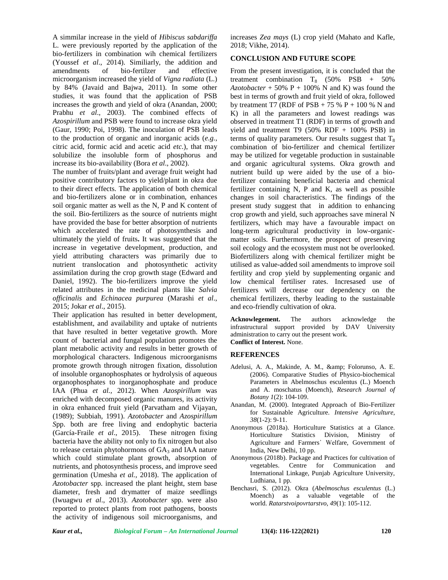A simmilar increase in the yield of *Hibiscus sabdariffa* L. were previously reported by the application of the bio-fertilizers in combination wih chemical fertilizers (Youssef *et al*., 2014). Similiarly, the addition and amendments of bio-fertilzer and effective microorganism increased the yield of *Vigna radiata* (L.) by 84% (Javaid and Bajwa, 2011). In some other studies, it was found that the application of PSB increases the growth and yield of okra (Anandan, 2000; Prabhu *et al*., 2003). The combined effects of *Azospirillum* and PSB were found to increase okra yield (Gaur, 1990; Poi, 1998). The inoculation of PSB leads to the production of organic and inorganic acids (*e.g.*, citric acid, formic acid and acetic acid *etc*.), that may solubilize the insoluble form of phosphorus and increase its bio-availability (Bora *et al*., 2002).

The number of fruits/plant and average fruit weight had positive contributory factors to yield/plant in okra due to their direct effects. The application of both chemical and bio-fertilizers alone or in combination, enhances soil organic matter as well as the N, P and K content of the soil. Bio-fertilizers as the source of nutrients might have provided the base for better absorption of nutrients which accelerated the rate of photosynthesis and ultimately the yield of fruits**.** It was suggested that the increase in vegetative development, production, and yield attributing characters was primarily due to nutrient translocation and photosynthetic activity assimilation during the crop growth stage (Edward and Daniel, 1992). The bio-fertilizers improve the yield related attributes in the medicinal plants like *Salvia officinalis* and *Echinacea purpurea* (Marashi *et al*., 2015; Jokar *et al*., 2015).

Their application has resulted in better development,<br>
Acknowlegement. establishment, and availability and uptake of nutrients that have resulted in better vegetative growth. More count of bacterial and fungal population promotes the plant metabolic activity and results in better growth of morphological characters. Indigenous microorganisms promote growth through nitrogen fixation, dissolution of insoluble organophosphates or hydrolysis of aqueous organophosphates to inorganophosphate and produce IAA (Phua *et al.,* 2012). When *Azospirillum* was enriched with decomposed organic manures, its activity in okra enhanced fruit yield (Parvatham and Vijayan, (1989); Subbiah, 1991). *Azotobacter* and *Azospirillum S*pp. both are free living and endophytic bacteria (García-Fraile *et al*., 2015). These nitrogen fixing bacteria have the ability not only to fix nitrogen but also to release certain phytohormons of  $GA<sub>3</sub>$  and IAA nature which could stimulate plant growth, absorption of nutrients, and photosynthesis process, and improve seed germination (Umesha *et al.*, 2018). The application of *Azotobacter* spp. increased the plant height, stem base diameter, fresh and drymatter of maize seedlings (Iwuagwu *et al*., 2013). *Azotobacter* spp. were also reported to protect plants from root pathogens, boosts the activity of indigenous soil microorganisms, and

increases *Zea mays* (L) crop yield (Mahato and Kafle, 2018; Vikhe, 2014).

### **CONCLUSION AND FUTURE SCOPE**

From the present investigation, it is concluded that the treatment combination  $T_8$  (50% PSB + 50%)  $Azotobacter + 50\% P + 100\% N$  and K) was found the best in terms of growth and fruit yield of okra, followed by treatment T7 (RDF of PSB  $+ 75 % P + 100 % N$  and K) in all the parameters and lowest readings was observed in treatment T1 (RDF) in terms of growth and yield and treatment T9 (50% RDF + 100% PSB) in terms of quality parameters. Our results suggest that  $T_8$ combination of bio-fertilizer and chemical fertilizer may be utilized for vegetable production in sustainable and organic agricultural systems. Okra growth and nutrient build up were aided by the use of a biofertilizer containing beneficial bacteria and chemical fertilizer containing N, P and K, as well as possible changes in soil characteristics. The findings of the present study suggest that in addition to enhancing crop growth and yield, such approaches save mineral N fertilizers, which may have a favourable impact on long-term agricultural productivity in low-organic matter soils. Furthermore, the prospect of preserving soil ecology and the ecosystem must not be overlooked. Biofertilizers along with chemical fertilizer might be utilised as value-added soil amendments to improve soil fertility and crop yield by supplementing organic and low chemical fertiliser rates. Incresased use of fertilizers will decrease our dependency on the chemical fertilizers, therby leading to the sustainable and eco-friendly cultivation of okra.

The authors acknowledge the infrastructural support provided by DAV University administration to carry out the present work. **Conflict of Interest.** None.

### **REFERENCES**

- Adelusi, A. A., Makinde, A. M., & amp; Folorunso, A. E. (2006). Comparative Studies of Physico-biochemical Parameters in Abelmoschus esculentus (L.) Moench and A. moschatus (Moench), *Research Journal of Botany 1*(2): 104-109.
- Anandan, M. (2000). Integrated Approach of Bio-Fertilizer for Sustainable Agriculture. *Intensive Agriculture*, *38*(1-2): 9-11.
- Anonymous (2018a). Horticulture Statistics at a Glance. Horticulture Statistics Division, Ministry of Agriculture and Farmers᾽ Welfare, Government of India, New Delhi, 10 pp.
- Anonymous (2018b). Package and Practices for cultivation of vegetables. Centre for Communication and International Linkage, Punjab Agriculture University, Ludhiana, 1 pp.
- Benchasri, S. (2012). Okra (*Abelmoschus esculentus* (L.) Moench) as a valuable vegetable of the world. *Ratarstvoipovrtarstvo*, *49*(1): 105-112.

*Kaur et al., Biological Forum – An International Journal* **13(4): 116-122(2021) 120**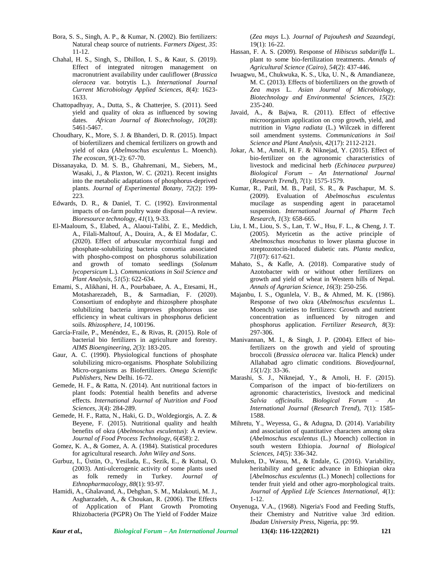- Bora, S. S., Singh, A. P., & Kumar, N. (2002). Bio fertilizers: Natural cheap source of nutrients. *Farmers Digest*, *35*: 11-12.
- Chahal, H. S., Singh, S., Dhillon, I. S., & Kaur, S. (2019). Effect of integrated nitrogen management on macronutrient availability under cauliflower (*Brassica oleracea* var. botrytis L.). *International Journal Current Microbiology Applied Sciences*, *8*(4): 1623- 1633.
- Chattopadhyay, A., Dutta, S., & Chatterjee, S. (2011). Seed yield and quality of okra as influenced by sowing dates. *African Journal of Biotechnology*, *10*(28): 5461-5467.
- Choudhary, K., More, S. J. & Bhanderi, D. R. (2015). Impact of biofertilizers and chemical fertilizers on growth and yield of okra (*Abelmoschus esculentus* L. Moench). *The ecoscan*, *9*(1-2): 67-70.
- Dissanayaka, D. M. S. B., Ghahremani, M., Siebers, M., Wasaki, J., & Plaxton, W. C. (2021). Recent insights into the metabolic adaptations of phosphorus-deprived plants. *Journal of Experimental Botany*, *72*(2): 199- 223.
- Edwards, D. R., & Daniel, T. C. (1992). Environmental impacts of on-farm poultry waste disposal—A review. *Bioresource technology, 41*(1), 9-33.
- El-Maaloum, S., Elabed, A., Alaoui-Talibi, Z. E., Meddich, A., Filali-Maltouf, A., Douira, A., & El Modafar, C. (2020). Effect of arbuscular mycorrhizal fungi and phosphate-solubilizing bacteria consortia associated with phospho-compost on phosphorus solubilization and growth of tomato seedlings (*Solanum lycopersicum* L.). *Communications in Soil Science and Plant Analysis*, *51*(5): 622-634.
- Emami, S., Alikhani, H. A., Pourbabaee, A. A., Etesami, H., Motasharezadeh, B., & Sarmadian, F. (2020). Consortium of endophyte and rhizosphere phosphate solubilizing bacteria improves phosphorous use efficiency in wheat cultivars in phosphorus deficient soils. *Rhizosphere*, *14*, 100196.
- García-Fraile, P., Menéndez, E., & Rivas, R. (2015). Role of bacterial bio fertilizers in agriculture and forestry. *AIMS Bioengineering*, *2*(3): 183-205.
- Gaur, A. C. (1990). Physiological functions of phosphate solubilizing micro-organisms. Phosphate Solubilizing Micro-organisms as Biofertilizers. *Omega Scientific Publishers*, New Delhi. 16-72.
- Gemede, H. F., & Ratta, N. (2014). Ant nutritional factors in plant foods: Potential health benefits and adverse effects. *International Journal of Nutrition and Food Sciences*, *3*(4): 284-289.
- Gemede, H. F., Ratta, N., Haki, G. D., Woldegiorgis, A. Z. & Beyene, F. (2015). Nutritional quality and health benefits of okra (*Abelmoschus esculentus*): A review. *Journal of Food Process Technology*, *6*(458): 2.
- Gomez, K. A., & Gomez, A. A. (1984). Statistical procedures for agricultural research. *John Wiley and Sons*.
- Gurbuz, I., Üstün, O., Yesilada, E., Sezik, E., & Kutsal, O. (2003). Anti-ulcerogenic activity of some plants used as folk remedy in Turkey. *Journal of Ethnopharmacology*, *88*(1): 93-97.
- Hamidi, A., Ghalavand, A., Dehghan, S. M., Malakouti, M. J., Asgharzadeh, A., & Choukan, R. (2006). The Effects of Application of Plant Growth Promoting Rhizobacteria (PGPR) On The Yield of Fodder Maize

(*Zea mays* L.). *Journal of Pajouhesh and Sazandegi*, 19(1): 16-22.

- Hassan, F. A. S. (2009). Response of *Hibiscus sabdariffa* L. plant to some bio-fertilization treatments. *Annals of Agricultural Science (Cairo)*, *54*(2): 437-446.
- Iwuagwu, M., Chukwuka, K. S., Uka, U. N., & Amandianeze, M. C. (2013). Effects of biofertilizers on the growth of *Zea mays* L. *Asian Journal of Microbiology, Biotechnology and Environmental Sciences*, *15*(2): 235-240.
- Javaid, A., & Bajwa, R. (2011). Effect of effective microorganism application on crop growth, yield, and nutrition in *Vigna radiata* (L.) Wilczek in different soil amendment systems. *Communications in Soil Science and Plant Analysis*, *42*(17): 2112-2121.
- Jokar, A. M., Amoli, H. F. & Niknejad, Y. (2015). Effect of bio-fertilizer on the agronomic characteristics of livestock and medicinal herb *(Echinacea purpurea) Biological Forum – An International Journal* (*Research Trend*)*, 7*(1): 1575-1579.
- Kumar, R., Patil, M. B., Patil, S. R., & Paschapur, M. S. (2009). Evaluation of *Abelmoschus esculentus* mucilage as suspending agent in paracetamol suspension. *International Journal of Pharm Tech Research*, *1*(3): 658-665.
- Liu, I. M., Liou, S. S., Lan, T. W., Hsu, F. L., & Cheng, J. T. (2005). Myricetin as the active principle of *Abelmoschus moschatus* to lower plasma glucose in streptozotocin-induced diabetic rats. *Planta medica*, *71*(07): 617-621.
- Mahato, S., & Kafle, A. (2018). Comparative study of Azotobacter with or without other fertilizers on growth and yield of wheat in Western hills of Nepal. *Annals of Agrarian Science*, *16*(3): 250-256.
- Majanbu, I. S., Ogunlela, V. B., & Ahmed, M. K. (1986). Response of two okra (*Abelmoschus esculentus* L. Moench) varieties to fertilizers: Growth and nutrient concentration as influenced by nitrogen and phosphorus application. *Fertilizer Research*, *8*(3): 297-306.
- Manivannan, M. I., & Singh, J. P. (2004). Effect of biofertilizers on the growth and yield of sprouting broccoli (*Brassica oleracea* var. Italica Plenck) under Allahabad agro climatic conditions. *Biovedjournal, 15*(1/2): 33-36.
- Marashi, S. J., Niknejad, Y., & Amoli, H. F. (2015). Comparison of the impact of bio-fertilizers on agronomic characteristics, livestock and medicinal *Salvia officinalis*. *Biological Forum – An International Journal* (*Research Trend*)*, 7*(1): 1585- 1588*.*
- Mihretu, Y., Weyessa, G., & Adugna, D. (2014). Variability and association of quantitative characters among okra (*Abelmoschus esculentus* (L.) Moench) collection in south western Ethiopia. *Journal of Biological Sciences*, *14*(5): 336-342.
- Muluken, D., Wassu, M., & Endale, G. (2016). Variability, heritability and genetic advance in Ethiopian okra [*Abelmoschus esculentus* (L.) Monech] collections for tender fruit yield and other agro-morphological traits. *Journal of Applied Life Sciences International*, *4*(1): 1-12.
- Onyenuga, V.A., (1968). Nigeria's Food and Feeding Stuffs, their Chemistry and Nutritive value 3rd edition. *Ibadan University Press*, Nigeria, pp: 99.

*Kaur et al., Biological Forum – An International Journal* **13(4): 116-122(2021) 121**